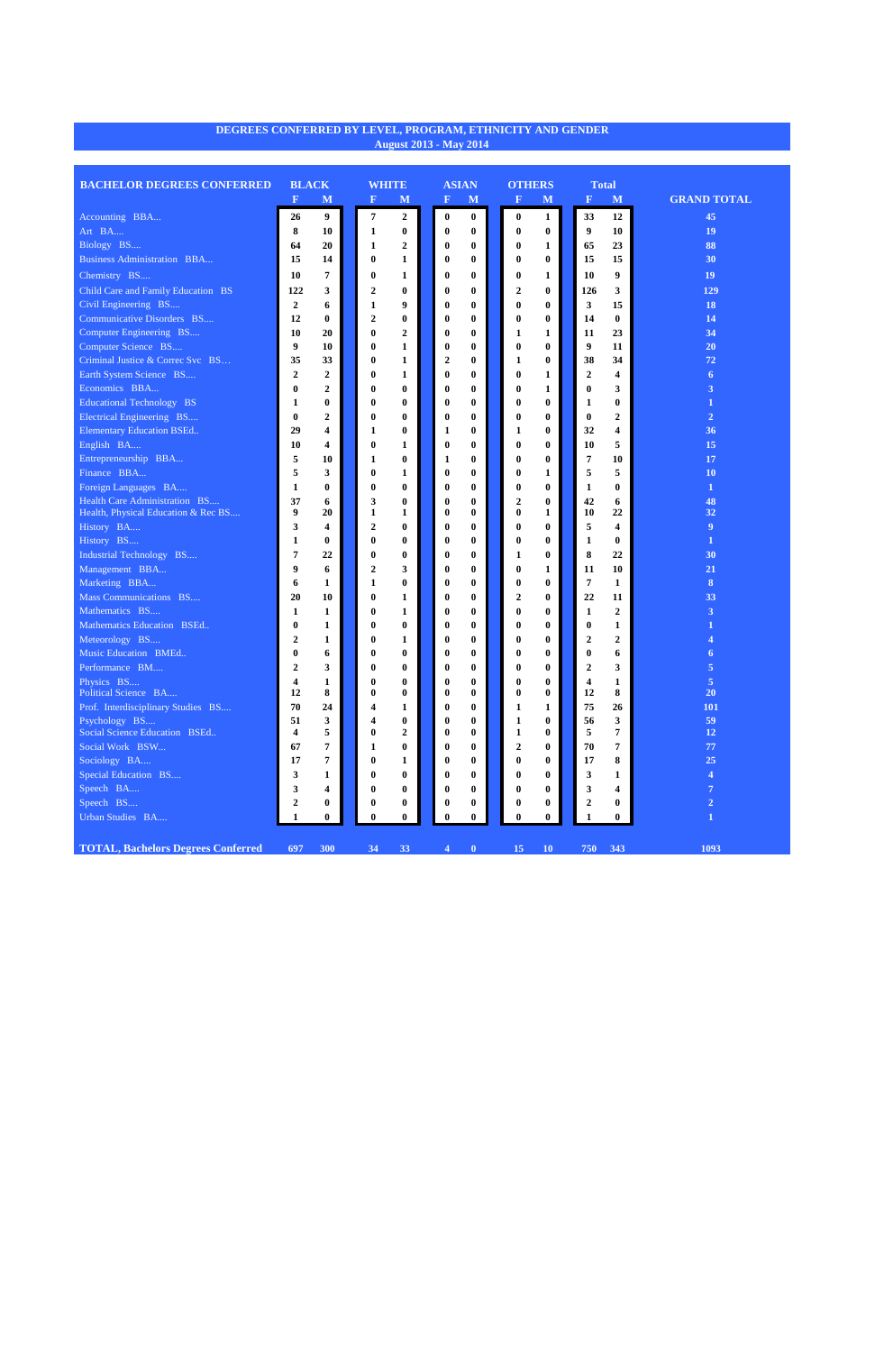## **DEGREES CONFERRED BY LEVEL, PROGRAM, ETHNICITY AND GENDER August 2013 - May 2014**

| <b>BACHELOR DEGREES CONFERRED</b>         | <b>BLACK</b>   |                  | <b>WHITE</b> |             | <b>ASIAN</b>     |                         |                      | <b>OTHERS</b> |                      |               | <b>Total</b> |                  |                  |                    |
|-------------------------------------------|----------------|------------------|--------------|-------------|------------------|-------------------------|----------------------|---------------|----------------------|---------------|--------------|------------------|------------------|--------------------|
|                                           | F              | $\mathbf{M}$     |              | $\mathbf F$ | M                | $\mathbf{F}$            | M                    |               | $\mathbf{F}$         | M             |              | $\mathbf{F}$     | M                | <b>GRAND TOTAL</b> |
| Accounting BBA                            | 26             | 9                |              | 7           | $\boldsymbol{2}$ | $\bf{0}$                | $\bf{0}$             |               | $\boldsymbol{0}$     | 1             |              | 33               | 12               | 45                 |
| Art BA                                    | 8              | <b>10</b>        |              | 1           | 0                | 0                       | 0                    |               | $\bf{0}$             | $\bf{0}$      |              | 9                | 10               | 19                 |
| Biology BS                                | 64             | 20               |              | 1           | 2                | 0                       | $\bf{0}$             |               | $\boldsymbol{0}$     | 1             |              | 65               | 23               | 88                 |
| Business Administration BBA               | 15             | 14               |              | $\bf{0}$    | 1                | 0                       | $\bf{0}$             |               | $\boldsymbol{0}$     | $\bf{0}$      |              | 15               | 15               | 30                 |
| Chemistry BS                              | 10             | 7                |              | 0           | 1                | 0                       | $\bf{0}$             |               | $\boldsymbol{0}$     | 1             |              | 10               | 9                | 19                 |
| Child Care and Family Education BS        | 122            | 3                |              | 2           | 0                | 0                       | $\boldsymbol{0}$     |               | 2                    | $\bf{0}$      |              | 126              | 3                | 129                |
| Civil Engineering BS                      | 2              | 6                |              | 1           | 9                | 0                       | $\boldsymbol{0}$     |               | $\bf{0}$             | $\bf{0}$      |              | 3                | 15               | 18                 |
| Communicative Disorders BS                | 12             | $\bf{0}$         |              | 2           | 0                | 0                       | $\boldsymbol{0}$     |               | $\boldsymbol{0}$     | $\bf{0}$      |              | 14               | $\bf{0}$         | 14                 |
| Computer Engineering BS                   | 10             | 20               |              | $\bf{0}$    | 2                | 0                       | $\bf{0}$             |               | 1                    | 1             |              | 11               | 23               | 34                 |
| Computer Science BS                       | 9              | <b>10</b>        |              | 0           | 1                | 0                       | $\boldsymbol{0}$     |               | $\boldsymbol{0}$     | $\bf{0}$      |              | 9                | 11               | 20                 |
| Criminal Justice & Correc Svc BS          | 35             | 33               |              | 0           | 1                | 2                       | $\boldsymbol{0}$     |               | 1                    | $\bf{0}$      |              | 38               | 34               | 72                 |
| Earth System Science BS                   | $\overline{2}$ | $\boldsymbol{2}$ |              | 0           | 1                | $\bf{0}$                | $\bf{0}$             |               | $\boldsymbol{0}$     | 1             |              | $\overline{2}$   | 4                | 6                  |
| Economics BBA                             | $\bf{0}$       | $\boldsymbol{2}$ |              | $\bf{0}$    | 0                | 0                       | $\boldsymbol{0}$     |               | $\boldsymbol{0}$     | 1             |              | $\bf{0}$         | 3                | 3                  |
| Educational Technology BS                 | 1              | $\bf{0}$         |              | $\bf{0}$    | 0                | 0                       | $\bf{0}$             |               | $\boldsymbol{0}$     | $\bf{0}$      |              | 1                | $\bf{0}$         |                    |
| Electrical Engineering BS                 | 0              | 2                |              | 0           | 0                | 0                       | $\bf{0}$             |               | $\bf{0}$             | $\bf{0}$      |              | $\bf{0}$         | $\boldsymbol{2}$ | $\overline{2}$     |
| <b>Elementary Education BSEd</b>          | 29             | 4                |              | 1           | 0                | 1                       | $\bf{0}$             |               | 1                    | $\bf{0}$      |              | 32               | 4                | 36                 |
| English BA                                | 10             | 4                |              | $\bf{0}$    | 1                | 0                       | 0                    |               | 0                    | $\bf{0}$      |              | 10               | 5                | 15                 |
| Entrepreneurship BBA                      | 5              | 10               |              | 1           | 0                | 1                       | $\boldsymbol{0}$     |               | $\boldsymbol{0}$     | $\bf{0}$      |              | 7                | 10               | 17                 |
| Finance BBA                               | 5              | 3                |              | 0           | 1                | 0                       | $\boldsymbol{0}$     |               | 0                    | 1             |              | 5                | 5                | 10                 |
| Foreign Languages BA                      | 1              | $\bf{0}$         |              | 0           | 0                | 0                       | $\boldsymbol{0}$     |               | $\bf{0}$             | $\bf{0}$      |              | 1                | $\bf{0}$         | 1                  |
| Health Care Administration BS             | 37             | 6                |              | 3           | 0                | $\boldsymbol{0}$        | $\boldsymbol{0}$     |               | 2                    | $\bf{0}$      |              | 42<br>10         | 6                | 48                 |
| Health, Physical Education & Rec BS       | 9<br>3         | 20<br>4          |              | 1<br>2      | 1<br>0           | $\bf{0}$<br>0           | $\bf{0}$<br>$\bf{0}$ |               | $\bf{0}$<br>$\bf{0}$ | 1<br>$\bf{0}$ |              | 5                | 22<br>4          | 32<br>9            |
| History BA<br>History BS                  | 1              | $\bf{0}$         |              | $\bf{0}$    | 0                | 0                       | $\bf{0}$             |               | $\bf{0}$             | $\bf{0}$      |              | 1                | $\bf{0}$         |                    |
| Industrial Technology BS                  | 7              | 22               |              | $\bf{0}$    | 0                | 0                       | $\bf{0}$             |               | 1                    | $\bf{0}$      |              | 8                | 22               | 30                 |
| Management BBA                            | 9              | 6                |              | 2           | 3                | 0                       | $\bf{0}$             |               | $\boldsymbol{0}$     | 1             |              | 11               | 10               | 21                 |
| Marketing BBA                             | 6              | 1                |              | 1           | 0                | 0                       | $\bf{0}$             |               | $\boldsymbol{0}$     | $\bf{0}$      |              | 7                | 1                | 8                  |
| Mass Communications BS                    | 20             | <b>10</b>        |              | $\bf{0}$    | 1                | 0                       | $\boldsymbol{0}$     |               | 2                    | $\bf{0}$      |              | 22               | 11               | 33                 |
| Mathematics BS                            | 1              | 1                |              | $\bf{0}$    | 1                | 0                       | $\bf{0}$             |               | $\bf{0}$             | $\bf{0}$      |              | 1                | $\mathbf{2}$     | 3                  |
| Mathematics Education BSEd                | 0              | 1                |              | 0           | 0                | 0                       | $\bf{0}$             |               | $\bf{0}$             | $\bf{0}$      |              | $\bf{0}$         | 1                |                    |
| Meteorology BS                            | 2              | 1                |              | $\bf{0}$    | 1                | 0                       | $\bf{0}$             |               | $\bf{0}$             | $\bf{0}$      |              | $\boldsymbol{2}$ | $\boldsymbol{2}$ |                    |
| Music Education BMEd                      | 0              | 6                |              | $\bf{0}$    | $\boldsymbol{0}$ | 0                       | $\boldsymbol{0}$     |               | $\bf{0}$             | $\bf{0}$      |              | $\bf{0}$         | 6                |                    |
| Performance BM                            | 2              | $\mathbf{3}$     |              | v           | v                | U                       | $\bf{0}$             |               | $\bf{0}$             | $\bf{0}$      |              | 2                | 3                | $\overline{5}$     |
| Physics BS                                | 4              | 1                |              | 0           | $\boldsymbol{0}$ | $\boldsymbol{0}$        | $\boldsymbol{0}$     |               | $\boldsymbol{0}$     | $\bf{0}$      |              | 4                | 1                | $\overline{5}$     |
| Political Science BA                      | 12             | ${\bf 8}$        |              | $\bf{0}$    | $\bf{0}$         | $\bf{0}$                | $\bf{0}$             |               | $\bf{0}$             | $\bf{0}$      |              | 12               | 8                | 20                 |
| Prof. Interdisciplinary Studies BS        | 70             | 24               |              | 4           | 1                | 0                       | $\bf{0}$             |               | 1                    | 1             |              | 75               | 26               | <b>101</b>         |
| Psychology BS                             | 51             | 3                |              | 4           | $\bf{0}$         | 0                       | $\boldsymbol{0}$     |               | 1                    | $\bf{0}$      |              | 56               | 3                | 59                 |
| Social Science Education BSEd             | 4              | 5                |              | $\bf{0}$    | $\boldsymbol{2}$ | 0                       | $\bf{0}$             |               | 1                    | $\bf{0}$      |              | 5                | 7                | 12                 |
| Social Work BSW                           | 67             | 7                |              | 1           | 0                | 0                       | $\bf{0}$             |               | $\boldsymbol{2}$     | $\bf{0}$      |              | 70               | 7                | 77                 |
| Sociology BA                              | 17             | 7                |              | 0           | 1                | 0                       | $\boldsymbol{0}$     |               | $\boldsymbol{0}$     | $\bf{0}$      |              | 17               | 8                | 25                 |
| Special Education BS                      | 3              | 1                |              | 0           | $\bf{0}$         | 0                       | $\boldsymbol{0}$     |               | $\bf{0}$             | $\bf{0}$      |              | 3                | 1                | 4                  |
| Speech BA                                 | 3              | 4                |              | 0           | 0                | $\bf{0}$                | $\boldsymbol{0}$     |               | $\bf{0}$             | $\bf{0}$      |              | 3                | 4                | $\overline{7}$     |
| Speech BS                                 | 2              | $\bf{0}$         |              | 0           | $\bf{0}$         | 0                       | $\boldsymbol{0}$     |               | $\boldsymbol{0}$     | $\bf{0}$      |              | 2                | $\bf{0}$         | $\overline{2}$     |
| Urban Studies BA                          | 1              | $\bf{0}$         |              | $\bf{0}$    | $\bf{0}$         | $\bf{0}$                | $\bf{0}$             |               | $\bf{0}$             | $\bf{0}$      |              | 1                | $\bf{0}$         | 1                  |
|                                           |                |                  |              |             |                  |                         |                      |               |                      |               |              |                  |                  |                    |
| <b>TOTAL, Bachelors Degrees Conferred</b> | 697            | 300              |              | 34          | 33               | $\overline{\mathbf{4}}$ | $\vert 0 \vert$      |               | 15                   | <b>10</b>     |              | 750 343          |                  | 1093               |